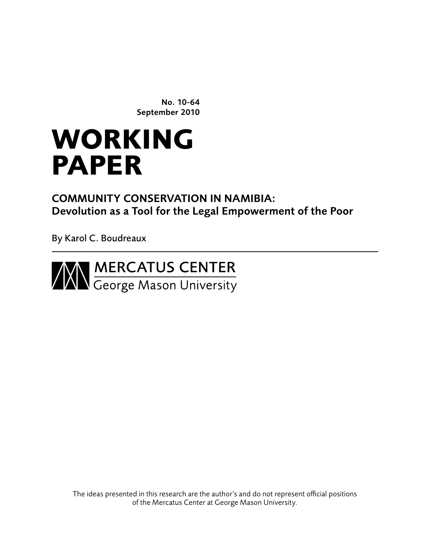No. 10-64 September 2010

# **working paper**

Community conservation in Namibia: Devolution as a Tool for the Legal Empowerment of the Poor

By Karol C. Boudreaux



The ideas presented in this research are the author's and do not represent official positions of the Mercatus Center at George Mason University.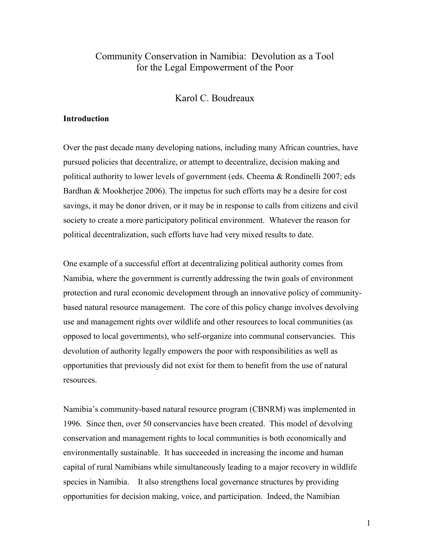# Community Conservation in Namibia: Devolution as a Tool for the Legal Empowerment of the Poor

Karol C. Boudreaux

# **Introduction**

Over the past decade many developing nations, including many African countries, have pursued policies that decentralize, or attempt to decentralize, decision making and political authority to lower levels of government (eds. Cheema & Rondinelli 2007; eds Bardhan & Mookherjee 2006). The impetus for such efforts may be a desire for cost savings, it may be donor driven, or it may be in response to calls from citizens and civil society to create a more participatory political environment. Whatever the reason for political decentralization, such efforts have had very mixed results to date.

One example of a successful effort at decentralizing political authority comes from Namibia, where the government is currently addressing the twin goals of environment protection and rural economic development through an innovative policy of communitybased natural resource management. The core of this policy change involves devolving use and management rights over wildlife and other resources to local communities (as opposed to local governments), who self-organize into communal conservancies. This devolution of authority legally empowers the poor with responsibilities as well as opportunities that previously did not exist for them to benefit from the use of natural resources.

Namibia's community-based natural resource program (CBNRM) was implemented in 1996. Since then, over 50 conservancies have been created. This model of devolving conservation and management rights to local communities is both economically and environmentally sustainable. It has succeeded in increasing the income and human capital of rural Namibians while simultaneously leading to a major recovery in wildlife species in Namibia. It also strengthens local governance structures by providing opportunities for decision making, voice, and participation. Indeed, the Namibian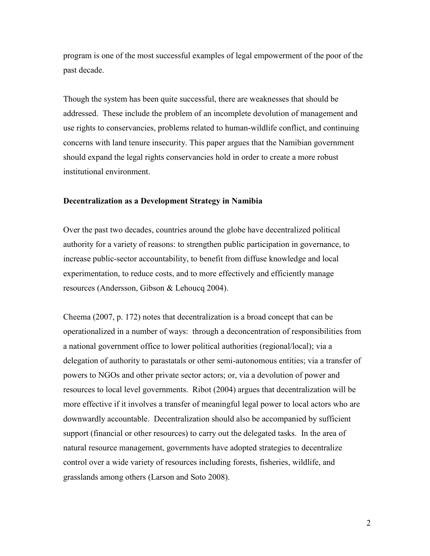program is one of the most successful examples of legal empowerment of the poor of the past decade.

Though the system has been quite successful, there are weaknesses that should be addressed. These include the problem of an incomplete devolution of management and use rights to conservancies, problems related to human-wildlife conflict, and continuing concerns with land tenure insecurity. This paper argues that the Namibian government should expand the legal rights conservancies hold in order to create a more robust institutional environment.

#### **Decentralization as a Development Strategy in Namibia**

Over the past two decades, countries around the globe have decentralized political authority for a variety of reasons: to strengthen public participation in governance, to increase public-sector accountability, to benefit from diffuse knowledge and local experimentation, to reduce costs, and to more effectively and efficiently manage resources (Andersson, Gibson & Lehoucq 2004).

Cheema (2007, p. 172) notes that decentralization is a broad concept that can be operationalized in a number of ways: through a deconcentration of responsibilities from a national government office to lower political authorities (regional/local); via a delegation of authority to parastatals or other semi-autonomous entities; via a transfer of powers to NGOs and other private sector actors; or, via a devolution of power and resources to local level governments. Ribot (2004) argues that decentralization will be more effective if it involves a transfer of meaningful legal power to local actors who are downwardly accountable. Decentralization should also be accompanied by sufficient support (financial or other resources) to carry out the delegated tasks. In the area of natural resource management, governments have adopted strategies to decentralize control over a wide variety of resources including forests, fisheries, wildlife, and grasslands among others (Larson and Soto 2008).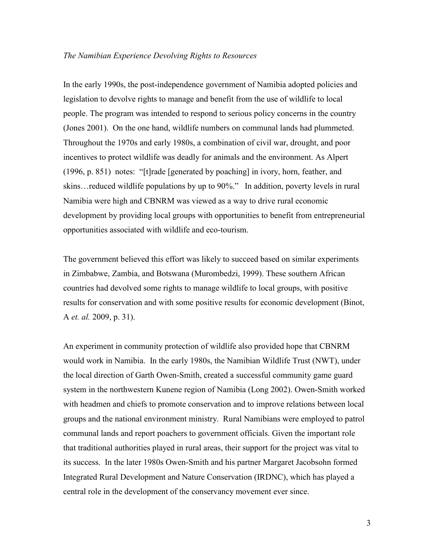## *The Namibian Experience Devolving Rights to Resources*

In the early 1990s, the post-independence government of Namibia adopted policies and legislation to devolve rights to manage and benefit from the use of wildlife to local people. The program was intended to respond to serious policy concerns in the country (Jones 2001). On the one hand, wildlife numbers on communal lands had plummeted. Throughout the 1970s and early 1980s, a combination of civil war, drought, and poor incentives to protect wildlife was deadly for animals and the environment. As Alpert (1996, p. 851) notes: "[t]rade [generated by poaching] in ivory, horn, feather, and skins…reduced wildlife populations by up to 90%." In addition, poverty levels in rural Namibia were high and CBNRM was viewed as a way to drive rural economic development by providing local groups with opportunities to benefit from entrepreneurial opportunities associated with wildlife and eco-tourism.

The government believed this effort was likely to succeed based on similar experiments in Zimbabwe, Zambia, and Botswana (Murombedzi, 1999). These southern African countries had devolved some rights to manage wildlife to local groups, with positive results for conservation and with some positive results for economic development (Binot, A *et. al.* 2009, p. 31).

An experiment in community protection of wildlife also provided hope that CBNRM would work in Namibia. In the early 1980s, the Namibian Wildlife Trust (NWT), under the local direction of Garth Owen-Smith, created a successful community game guard system in the northwestern Kunene region of Namibia (Long 2002). Owen-Smith worked with headmen and chiefs to promote conservation and to improve relations between local groups and the national environment ministry. Rural Namibians were employed to patrol communal lands and report poachers to government officials. Given the important role that traditional authorities played in rural areas, their support for the project was vital to its success. In the later 1980s Owen-Smith and his partner Margaret Jacobsohn formed Integrated Rural Development and Nature Conservation (IRDNC), which has played a central role in the development of the conservancy movement ever since.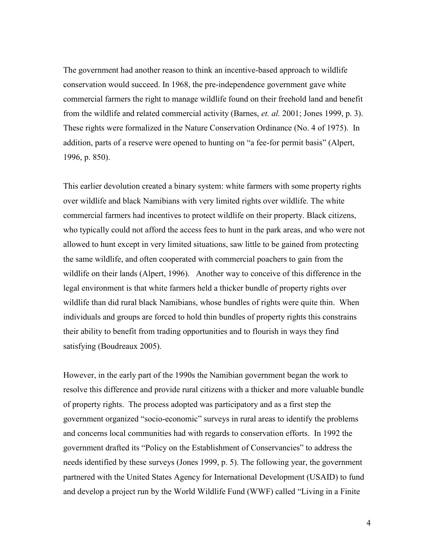The government had another reason to think an incentive-based approach to wildlife conservation would succeed. In 1968, the pre-independence government gave white commercial farmers the right to manage wildlife found on their freehold land and benefit from the wildlife and related commercial activity (Barnes, *et. al.* 2001; Jones 1999, p. 3). These rights were formalized in the Nature Conservation Ordinance (No. 4 of 1975). In addition, parts of a reserve were opened to hunting on "a fee-for permit basis" (Alpert, 1996, p. 850).

This earlier devolution created a binary system: white farmers with some property rights over wildlife and black Namibians with very limited rights over wildlife. The white commercial farmers had incentives to protect wildlife on their property. Black citizens, who typically could not afford the access fees to hunt in the park areas, and who were not allowed to hunt except in very limited situations, saw little to be gained from protecting the same wildlife, and often cooperated with commercial poachers to gain from the wildlife on their lands (Alpert, 1996). Another way to conceive of this difference in the legal environment is that white farmers held a thicker bundle of property rights over wildlife than did rural black Namibians, whose bundles of rights were quite thin. When individuals and groups are forced to hold thin bundles of property rights this constrains their ability to benefit from trading opportunities and to flourish in ways they find satisfying (Boudreaux 2005).

However, in the early part of the 1990s the Namibian government began the work to resolve this difference and provide rural citizens with a thicker and more valuable bundle of property rights. The process adopted was participatory and as a first step the government organized "socio-economic" surveys in rural areas to identify the problems and concerns local communities had with regards to conservation efforts. In 1992 the government drafted its "Policy on the Establishment of Conservancies" to address the needs identified by these surveys (Jones 1999, p. 5). The following year, the government partnered with the United States Agency for International Development (USAID) to fund and develop a project run by the World Wildlife Fund (WWF) called "Living in a Finite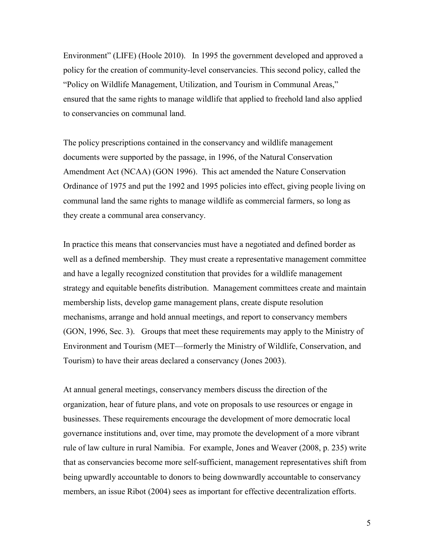Environment" (LIFE) (Hoole 2010). In 1995 the government developed and approved a policy for the creation of community-level conservancies. This second policy, called the "Policy on Wildlife Management, Utilization, and Tourism in Communal Areas," ensured that the same rights to manage wildlife that applied to freehold land also applied to conservancies on communal land.

The policy prescriptions contained in the conservancy and wildlife management documents were supported by the passage, in 1996, of the Natural Conservation Amendment Act (NCAA) (GON 1996). This act amended the Nature Conservation Ordinance of 1975 and put the 1992 and 1995 policies into effect, giving people living on communal land the same rights to manage wildlife as commercial farmers, so long as they create a communal area conservancy.

In practice this means that conservancies must have a negotiated and defined border as well as a defined membership. They must create a representative management committee and have a legally recognized constitution that provides for a wildlife management strategy and equitable benefits distribution. Management committees create and maintain membership lists, develop game management plans, create dispute resolution mechanisms, arrange and hold annual meetings, and report to conservancy members (GON, 1996, Sec. 3). Groups that meet these requirements may apply to the Ministry of Environment and Tourism (MET—formerly the Ministry of Wildlife, Conservation, and Tourism) to have their areas declared a conservancy (Jones 2003).

At annual general meetings, conservancy members discuss the direction of the organization, hear of future plans, and vote on proposals to use resources or engage in businesses. These requirements encourage the development of more democratic local governance institutions and, over time, may promote the development of a more vibrant rule of law culture in rural Namibia. For example, Jones and Weaver (2008, p. 235) write that as conservancies become more self-sufficient, management representatives shift from being upwardly accountable to donors to being downwardly accountable to conservancy members, an issue Ribot (2004) sees as important for effective decentralization efforts.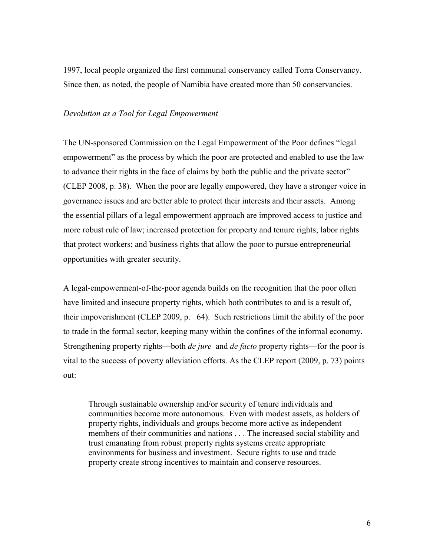1997, local people organized the first communal conservancy called Torra Conservancy. Since then, as noted, the people of Namibia have created more than 50 conservancies.

# *Devolution as a Tool for Legal Empowerment*

The UN-sponsored Commission on the Legal Empowerment of the Poor defines "legal empowerment" as the process by which the poor are protected and enabled to use the law to advance their rights in the face of claims by both the public and the private sector" (CLEP 2008, p. 38). When the poor are legally empowered, they have a stronger voice in governance issues and are better able to protect their interests and their assets. Among the essential pillars of a legal empowerment approach are improved access to justice and more robust rule of law; increased protection for property and tenure rights; labor rights that protect workers; and business rights that allow the poor to pursue entrepreneurial opportunities with greater security.

A legal-empowerment-of-the-poor agenda builds on the recognition that the poor often have limited and insecure property rights, which both contributes to and is a result of, their impoverishment (CLEP 2009, p. 64). Such restrictions limit the ability of the poor to trade in the formal sector, keeping many within the confines of the informal economy. Strengthening property rights—both *de jure* and *de facto* property rights—for the poor is vital to the success of poverty alleviation efforts. As the CLEP report (2009, p. 73) points out:

Through sustainable ownership and/or security of tenure individuals and communities become more autonomous. Even with modest assets, as holders of property rights, individuals and groups become more active as independent members of their communities and nations . . . The increased social stability and trust emanating from robust property rights systems create appropriate environments for business and investment. Secure rights to use and trade property create strong incentives to maintain and conserve resources.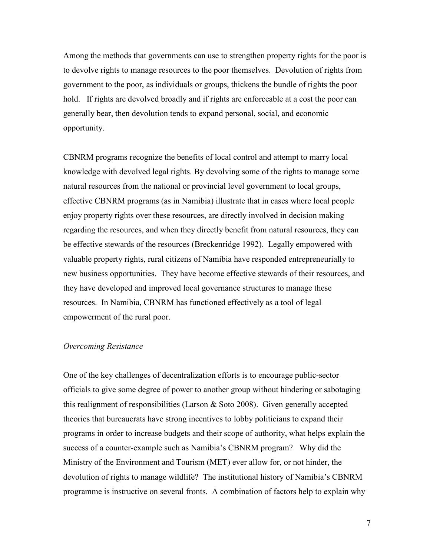Among the methods that governments can use to strengthen property rights for the poor is to devolve rights to manage resources to the poor themselves. Devolution of rights from government to the poor, as individuals or groups, thickens the bundle of rights the poor hold. If rights are devolved broadly and if rights are enforceable at a cost the poor can generally bear, then devolution tends to expand personal, social, and economic opportunity.

CBNRM programs recognize the benefits of local control and attempt to marry local knowledge with devolved legal rights. By devolving some of the rights to manage some natural resources from the national or provincial level government to local groups, effective CBNRM programs (as in Namibia) illustrate that in cases where local people enjoy property rights over these resources, are directly involved in decision making regarding the resources, and when they directly benefit from natural resources, they can be effective stewards of the resources (Breckenridge 1992). Legally empowered with valuable property rights, rural citizens of Namibia have responded entrepreneurially to new business opportunities. They have become effective stewards of their resources, and they have developed and improved local governance structures to manage these resources. In Namibia, CBNRM has functioned effectively as a tool of legal empowerment of the rural poor.

#### *Overcoming Resistance*

One of the key challenges of decentralization efforts is to encourage public-sector officials to give some degree of power to another group without hindering or sabotaging this realignment of responsibilities (Larson & Soto 2008). Given generally accepted theories that bureaucrats have strong incentives to lobby politicians to expand their programs in order to increase budgets and their scope of authority, what helps explain the success of a counter-example such as Namibia's CBNRM program? Why did the Ministry of the Environment and Tourism (MET) ever allow for, or not hinder, the devolution of rights to manage wildlife? The institutional history of Namibia's CBNRM programme is instructive on several fronts. A combination of factors help to explain why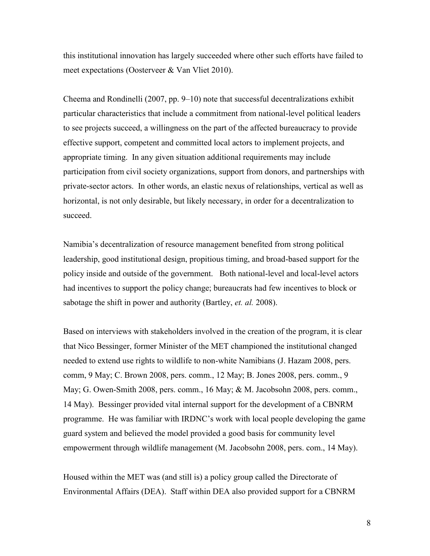this institutional innovation has largely succeeded where other such efforts have failed to meet expectations (Oosterveer & Van Vliet 2010).

Cheema and Rondinelli (2007, pp. 9–10) note that successful decentralizations exhibit particular characteristics that include a commitment from national-level political leaders to see projects succeed, a willingness on the part of the affected bureaucracy to provide effective support, competent and committed local actors to implement projects, and appropriate timing. In any given situation additional requirements may include participation from civil society organizations, support from donors, and partnerships with private-sector actors. In other words, an elastic nexus of relationships, vertical as well as horizontal, is not only desirable, but likely necessary, in order for a decentralization to succeed.

Namibia's decentralization of resource management benefited from strong political leadership, good institutional design, propitious timing, and broad-based support for the policy inside and outside of the government. Both national-level and local-level actors had incentives to support the policy change; bureaucrats had few incentives to block or sabotage the shift in power and authority (Bartley, *et. al.* 2008).

Based on interviews with stakeholders involved in the creation of the program, it is clear that Nico Bessinger, former Minister of the MET championed the institutional changed needed to extend use rights to wildlife to non-white Namibians (J. Hazam 2008, pers. comm, 9 May; C. Brown 2008, pers. comm., 12 May; B. Jones 2008, pers. comm., 9 May; G. Owen-Smith 2008, pers. comm., 16 May; & M. Jacobsohn 2008, pers. comm., 14 May). Bessinger provided vital internal support for the development of a CBNRM programme. He was familiar with IRDNC's work with local people developing the game guard system and believed the model provided a good basis for community level empowerment through wildlife management (M. Jacobsohn 2008, pers. com., 14 May).

Housed within the MET was (and still is) a policy group called the Directorate of Environmental Affairs (DEA). Staff within DEA also provided support for a CBNRM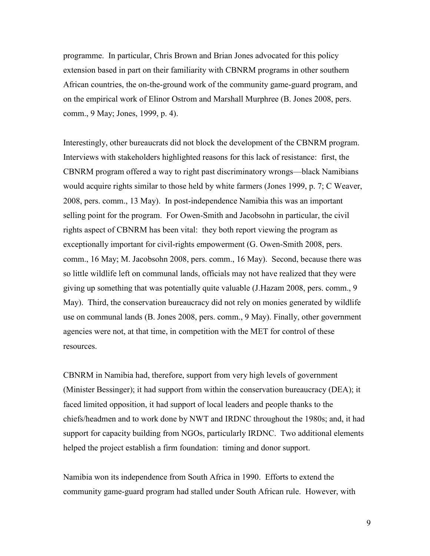programme. In particular, Chris Brown and Brian Jones advocated for this policy extension based in part on their familiarity with CBNRM programs in other southern African countries, the on-the-ground work of the community game-guard program, and on the empirical work of Elinor Ostrom and Marshall Murphree (B. Jones 2008, pers. comm., 9 May; Jones, 1999, p. 4).

Interestingly, other bureaucrats did not block the development of the CBNRM program. Interviews with stakeholders highlighted reasons for this lack of resistance: first, the CBNRM program offered a way to right past discriminatory wrongs—black Namibians would acquire rights similar to those held by white farmers (Jones 1999, p. 7; C Weaver, 2008, pers. comm., 13 May). In post-independence Namibia this was an important selling point for the program. For Owen-Smith and Jacobsohn in particular, the civil rights aspect of CBNRM has been vital: they both report viewing the program as exceptionally important for civil-rights empowerment (G. Owen-Smith 2008, pers. comm., 16 May; M. Jacobsohn 2008, pers. comm., 16 May). Second, because there was so little wildlife left on communal lands, officials may not have realized that they were giving up something that was potentially quite valuable (J.Hazam 2008, pers. comm., 9 May). Third, the conservation bureaucracy did not rely on monies generated by wildlife use on communal lands (B. Jones 2008, pers. comm., 9 May). Finally, other government agencies were not, at that time, in competition with the MET for control of these resources.

CBNRM in Namibia had, therefore, support from very high levels of government (Minister Bessinger); it had support from within the conservation bureaucracy (DEA); it faced limited opposition, it had support of local leaders and people thanks to the chiefs/headmen and to work done by NWT and IRDNC throughout the 1980s; and, it had support for capacity building from NGOs, particularly IRDNC. Two additional elements helped the project establish a firm foundation: timing and donor support.

Namibia won its independence from South Africa in 1990. Efforts to extend the community game-guard program had stalled under South African rule. However, with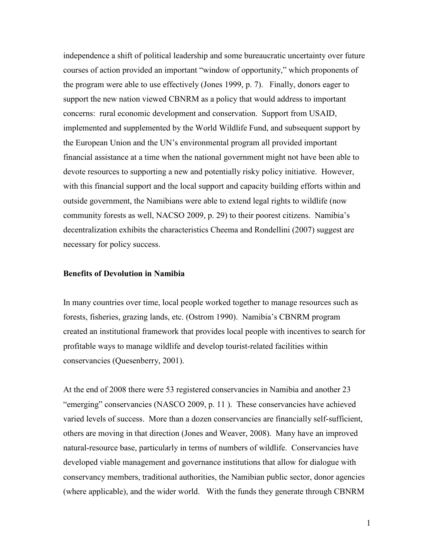independence a shift of political leadership and some bureaucratic uncertainty over future courses of action provided an important "window of opportunity," which proponents of the program were able to use effectively (Jones 1999, p. 7). Finally, donors eager to support the new nation viewed CBNRM as a policy that would address to important concerns: rural economic development and conservation. Support from USAID, implemented and supplemented by the World Wildlife Fund, and subsequent support by the European Union and the UN's environmental program all provided important financial assistance at a time when the national government might not have been able to devote resources to supporting a new and potentially risky policy initiative. However, with this financial support and the local support and capacity building efforts within and outside government, the Namibians were able to extend legal rights to wildlife (now community forests as well, NACSO 2009, p. 29) to their poorest citizens. Namibia's decentralization exhibits the characteristics Cheema and Rondellini (2007) suggest are necessary for policy success.

### **Benefits of Devolution in Namibia**

In many countries over time, local people worked together to manage resources such as forests, fisheries, grazing lands, etc. (Ostrom 1990). Namibia's CBNRM program created an institutional framework that provides local people with incentives to search for profitable ways to manage wildlife and develop tourist-related facilities within conservancies (Quesenberry, 2001).

At the end of 2008 there were 53 registered conservancies in Namibia and another 23 "emerging" conservancies (NASCO 2009, p. 11). These conservancies have achieved varied levels of success. More than a dozen conservancies are financially self-sufficient, others are moving in that direction (Jones and Weaver, 2008). Many have an improved natural-resource base, particularly in terms of numbers of wildlife. Conservancies have developed viable management and governance institutions that allow for dialogue with conservancy members, traditional authorities, the Namibian public sector, donor agencies (where applicable), and the wider world. With the funds they generate through CBNRM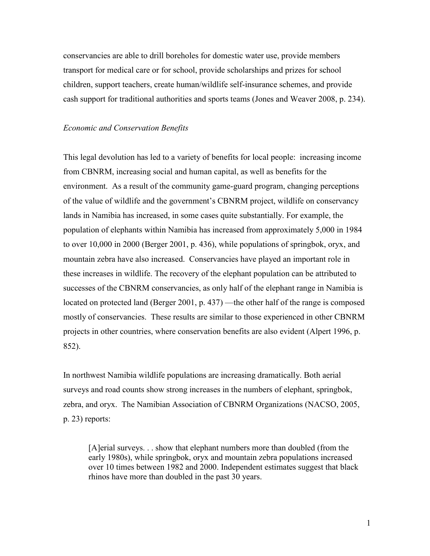conservancies are able to drill boreholes for domestic water use, provide members transport for medical care or for school, provide scholarships and prizes for school children, support teachers, create human/wildlife self-insurance schemes, and provide cash support for traditional authorities and sports teams (Jones and Weaver 2008, p. 234).

#### *Economic and Conservation Benefits*

This legal devolution has led to a variety of benefits for local people: increasing income from CBNRM, increasing social and human capital, as well as benefits for the environment. As a result of the community game-guard program, changing perceptions of the value of wildlife and the government's CBNRM project, wildlife on conservancy lands in Namibia has increased, in some cases quite substantially. For example, the population of elephants within Namibia has increased from approximately 5,000 in 1984 to over 10,000 in 2000 (Berger 2001, p. 436), while populations of springbok, oryx, and mountain zebra have also increased. Conservancies have played an important role in these increases in wildlife. The recovery of the elephant population can be attributed to successes of the CBNRM conservancies, as only half of the elephant range in Namibia is located on protected land (Berger 2001, p. 437) —the other half of the range is composed mostly of conservancies. These results are similar to those experienced in other CBNRM projects in other countries, where conservation benefits are also evident (Alpert 1996, p. 852).

In northwest Namibia wildlife populations are increasing dramatically. Both aerial surveys and road counts show strong increases in the numbers of elephant, springbok, zebra, and oryx. The Namibian Association of CBNRM Organizations (NACSO, 2005, p. 23) reports:

[A]erial surveys. . . show that elephant numbers more than doubled (from the early 1980s), while springbok, oryx and mountain zebra populations increased over 10 times between 1982 and 2000. Independent estimates suggest that black rhinos have more than doubled in the past 30 years.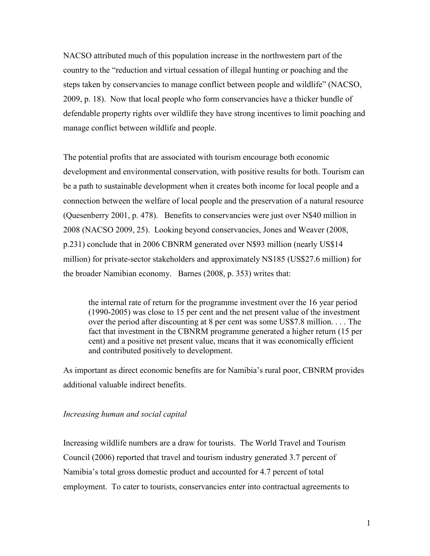NACSO attributed much of this population increase in the northwestern part of the country to the "reduction and virtual cessation of illegal hunting or poaching and the steps taken by conservancies to manage conflict between people and wildlife" (NACSO, 2009, p. 18). Now that local people who form conservancies have a thicker bundle of defendable property rights over wildlife they have strong incentives to limit poaching and manage conflict between wildlife and people.

The potential profits that are associated with tourism encourage both economic development and environmental conservation, with positive results for both. Tourism can be a path to sustainable development when it creates both income for local people and a connection between the welfare of local people and the preservation of a natural resource (Quesenberry 2001, p. 478). Benefits to conservancies were just over N\$40 million in 2008 (NACSO 2009, 25). Looking beyond conservancies, Jones and Weaver (2008, p.231) conclude that in 2006 CBNRM generated over N\$93 million (nearly US\$14 million) for private-sector stakeholders and approximately NS185 (US\$27.6 million) for the broader Namibian economy. Barnes (2008, p. 353) writes that:

the internal rate of return for the programme investment over the 16 year period (1990-2005) was close to 15 per cent and the net present value of the investment over the period after discounting at 8 per cent was some US\$7.8 million. . . . The fact that investment in the CBNRM programme generated a higher return (15 per cent) and a positive net present value, means that it was economically efficient and contributed positively to development.

As important as direct economic benefits are for Namibia's rural poor, CBNRM provides additional valuable indirect benefits.

### *Increasing human and social capital*

Increasing wildlife numbers are a draw for tourists. The World Travel and Tourism Council (2006) reported that travel and tourism industry generated 3.7 percent of Namibia's total gross domestic product and accounted for 4.7 percent of total employment. To cater to tourists, conservancies enter into contractual agreements to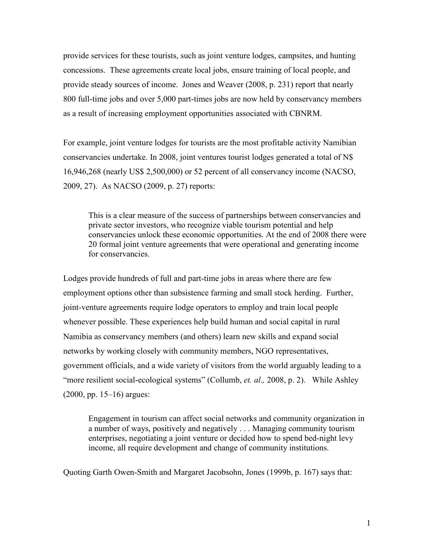provide services for these tourists, such as joint venture lodges, campsites, and hunting concessions. These agreements create local jobs, ensure training of local people, and provide steady sources of income. Jones and Weaver (2008, p. 231) report that nearly 800 full-time jobs and over 5,000 part-times jobs are now held by conservancy members as a result of increasing employment opportunities associated with CBNRM.

For example, joint venture lodges for tourists are the most profitable activity Namibian conservancies undertake. In 2008, joint ventures tourist lodges generated a total of N\$ 16,946,268 (nearly US\$ 2,500,000) or 52 percent of all conservancy income (NACSO, 2009, 27). As NACSO (2009, p. 27) reports:

This is a clear measure of the success of partnerships between conservancies and private sector investors, who recognize viable tourism potential and help conservancies unlock these economic opportunities. At the end of 2008 there were 20 formal joint venture agreements that were operational and generating income for conservancies.

Lodges provide hundreds of full and part-time jobs in areas where there are few employment options other than subsistence farming and small stock herding. Further, joint-venture agreements require lodge operators to employ and train local people whenever possible. These experiences help build human and social capital in rural Namibia as conservancy members (and others) learn new skills and expand social networks by working closely with community members, NGO representatives, government officials, and a wide variety of visitors from the world arguably leading to a "more resilient social-ecological systems" (Collumb, *et. al.,* 2008, p. 2). While Ashley (2000, pp. 15–16) argues:

Engagement in tourism can affect social networks and community organization in a number of ways, positively and negatively . . . Managing community tourism enterprises, negotiating a joint venture or decided how to spend bed-night levy income, all require development and change of community institutions.

Quoting Garth Owen-Smith and Margaret Jacobsohn, Jones (1999b, p. 167) says that: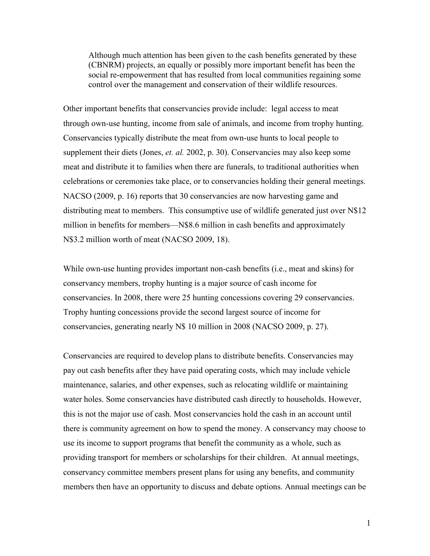Although much attention has been given to the cash benefits generated by these (CBNRM) projects, an equally or possibly more important benefit has been the social re-empowerment that has resulted from local communities regaining some control over the management and conservation of their wildlife resources.

Other important benefits that conservancies provide include: legal access to meat through own-use hunting, income from sale of animals, and income from trophy hunting. Conservancies typically distribute the meat from own-use hunts to local people to supplement their diets (Jones, *et. al.* 2002, p. 30). Conservancies may also keep some meat and distribute it to families when there are funerals, to traditional authorities when celebrations or ceremonies take place, or to conservancies holding their general meetings. NACSO (2009, p. 16) reports that 30 conservancies are now harvesting game and distributing meat to members. This consumptive use of wildlife generated just over N\$12 million in benefits for members—N\$8.6 million in cash benefits and approximately N\$3.2 million worth of meat (NACSO 2009, 18).

While own-use hunting provides important non-cash benefits (i.e., meat and skins) for conservancy members, trophy hunting is a major source of cash income for conservancies. In 2008, there were 25 hunting concessions covering 29 conservancies. Trophy hunting concessions provide the second largest source of income for conservancies, generating nearly N\$ 10 million in 2008 (NACSO 2009, p. 27).

Conservancies are required to develop plans to distribute benefits. Conservancies may pay out cash benefits after they have paid operating costs, which may include vehicle maintenance, salaries, and other expenses, such as relocating wildlife or maintaining water holes. Some conservancies have distributed cash directly to households. However, this is not the major use of cash. Most conservancies hold the cash in an account until there is community agreement on how to spend the money. A conservancy may choose to use its income to support programs that benefit the community as a whole, such as providing transport for members or scholarships for their children. At annual meetings, conservancy committee members present plans for using any benefits, and community members then have an opportunity to discuss and debate options. Annual meetings can be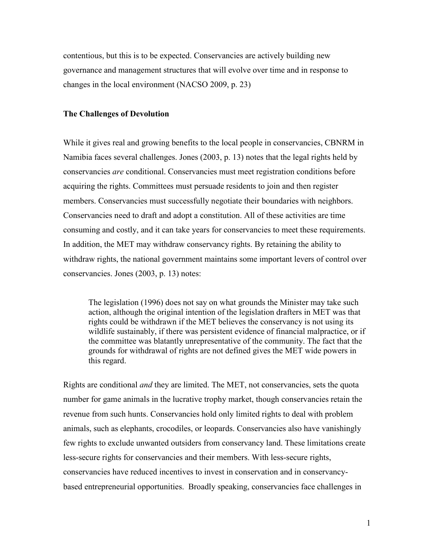contentious, but this is to be expected. Conservancies are actively building new governance and management structures that will evolve over time and in response to changes in the local environment (NACSO 2009, p. 23)

# **The Challenges of Devolution**

While it gives real and growing benefits to the local people in conservancies, CBNRM in Namibia faces several challenges. Jones (2003, p. 13) notes that the legal rights held by conservancies *are* conditional. Conservancies must meet registration conditions before acquiring the rights. Committees must persuade residents to join and then register members. Conservancies must successfully negotiate their boundaries with neighbors. Conservancies need to draft and adopt a constitution. All of these activities are time consuming and costly, and it can take years for conservancies to meet these requirements. In addition, the MET may withdraw conservancy rights. By retaining the ability to withdraw rights, the national government maintains some important levers of control over conservancies. Jones (2003, p. 13) notes:

The legislation (1996) does not say on what grounds the Minister may take such action, although the original intention of the legislation drafters in MET was that rights could be withdrawn if the MET believes the conservancy is not using its wildlife sustainably, if there was persistent evidence of financial malpractice, or if the committee was blatantly unrepresentative of the community. The fact that the grounds for withdrawal of rights are not defined gives the MET wide powers in this regard.

Rights are conditional *and* they are limited. The MET, not conservancies, sets the quota number for game animals in the lucrative trophy market, though conservancies retain the revenue from such hunts. Conservancies hold only limited rights to deal with problem animals, such as elephants, crocodiles, or leopards. Conservancies also have vanishingly few rights to exclude unwanted outsiders from conservancy land. These limitations create less-secure rights for conservancies and their members. With less-secure rights, conservancies have reduced incentives to invest in conservation and in conservancybased entrepreneurial opportunities. Broadly speaking, conservancies face challenges in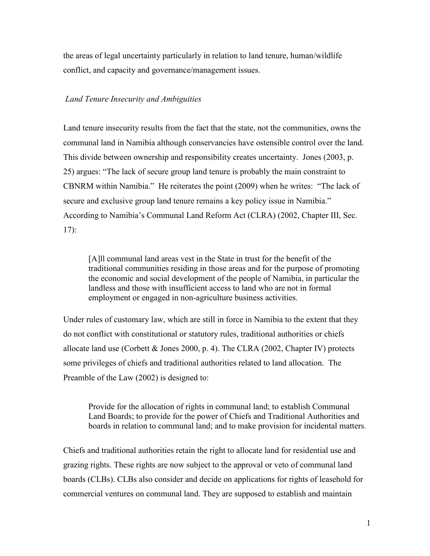the areas of legal uncertainty particularly in relation to land tenure, human/wildlife conflict, and capacity and governance/management issues.

# *Land Tenure Insecurity and Ambiguities*

Land tenure insecurity results from the fact that the state, not the communities, owns the communal land in Namibia although conservancies have ostensible control over the land. This divide between ownership and responsibility creates uncertainty. Jones (2003, p. 25) argues: "The lack of secure group land tenure is probably the main constraint to CBNRM within Namibia." He reiterates the point (2009) when he writes: "The lack of secure and exclusive group land tenure remains a key policy issue in Namibia." According to Namibia's Communal Land Reform Act (CLRA) (2002, Chapter III, Sec. 17):

[A]ll communal land areas vest in the State in trust for the benefit of the traditional communities residing in those areas and for the purpose of promoting the economic and social development of the people of Namibia, in particular the landless and those with insufficient access to land who are not in formal employment or engaged in non-agriculture business activities.

Under rules of customary law, which are still in force in Namibia to the extent that they do not conflict with constitutional or statutory rules, traditional authorities or chiefs allocate land use (Corbett  $\&$  Jones 2000, p. 4). The CLRA (2002, Chapter IV) protects some privileges of chiefs and traditional authorities related to land allocation. The Preamble of the Law (2002) is designed to:

Provide for the allocation of rights in communal land; to establish Communal Land Boards; to provide for the power of Chiefs and Traditional Authorities and boards in relation to communal land; and to make provision for incidental matters.

Chiefs and traditional authorities retain the right to allocate land for residential use and grazing rights. These rights are now subject to the approval or veto of communal land boards (CLBs). CLBs also consider and decide on applications for rights of leasehold for commercial ventures on communal land. They are supposed to establish and maintain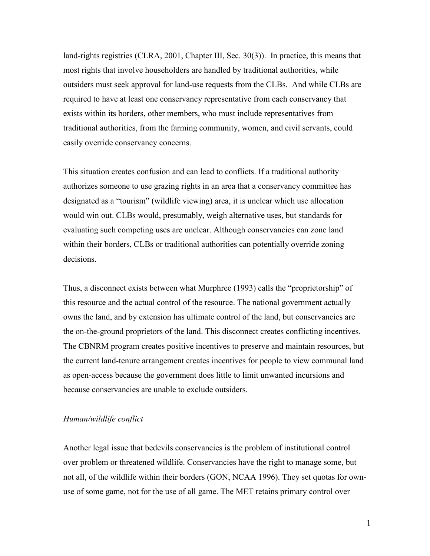land-rights registries (CLRA, 2001, Chapter III, Sec. 30(3)). In practice, this means that most rights that involve householders are handled by traditional authorities, while outsiders must seek approval for land-use requests from the CLBs. And while CLBs are required to have at least one conservancy representative from each conservancy that exists within its borders, other members, who must include representatives from traditional authorities, from the farming community, women, and civil servants, could easily override conservancy concerns.

This situation creates confusion and can lead to conflicts. If a traditional authority authorizes someone to use grazing rights in an area that a conservancy committee has designated as a "tourism" (wildlife viewing) area, it is unclear which use allocation would win out. CLBs would, presumably, weigh alternative uses, but standards for evaluating such competing uses are unclear. Although conservancies can zone land within their borders, CLBs or traditional authorities can potentially override zoning decisions.

Thus, a disconnect exists between what Murphree (1993) calls the "proprietorship" of this resource and the actual control of the resource. The national government actually owns the land, and by extension has ultimate control of the land, but conservancies are the on-the-ground proprietors of the land. This disconnect creates conflicting incentives. The CBNRM program creates positive incentives to preserve and maintain resources, but the current land-tenure arrangement creates incentives for people to view communal land as open-access because the government does little to limit unwanted incursions and because conservancies are unable to exclude outsiders.

# *Human/wildlife conflict*

Another legal issue that bedevils conservancies is the problem of institutional control over problem or threatened wildlife. Conservancies have the right to manage some, but not all, of the wildlife within their borders (GON, NCAA 1996). They set quotas for ownuse of some game, not for the use of all game. The MET retains primary control over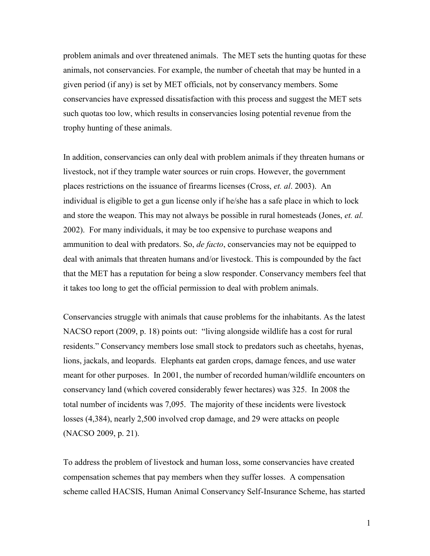problem animals and over threatened animals. The MET sets the hunting quotas for these animals, not conservancies. For example, the number of cheetah that may be hunted in a given period (if any) is set by MET officials, not by conservancy members. Some conservancies have expressed dissatisfaction with this process and suggest the MET sets such quotas too low, which results in conservancies losing potential revenue from the trophy hunting of these animals.

In addition, conservancies can only deal with problem animals if they threaten humans or livestock, not if they trample water sources or ruin crops. However, the government places restrictions on the issuance of firearms licenses (Cross, *et. al*. 2003). An individual is eligible to get a gun license only if he/she has a safe place in which to lock and store the weapon. This may not always be possible in rural homesteads (Jones, *et. al.* 2002). For many individuals, it may be too expensive to purchase weapons and ammunition to deal with predators. So, *de facto*, conservancies may not be equipped to deal with animals that threaten humans and/or livestock. This is compounded by the fact that the MET has a reputation for being a slow responder. Conservancy members feel that it takes too long to get the official permission to deal with problem animals.

Conservancies struggle with animals that cause problems for the inhabitants. As the latest NACSO report (2009, p. 18) points out: "living alongside wildlife has a cost for rural residents." Conservancy members lose small stock to predators such as cheetahs, hyenas, lions, jackals, and leopards. Elephants eat garden crops, damage fences, and use water meant for other purposes. In 2001, the number of recorded human/wildlife encounters on conservancy land (which covered considerably fewer hectares) was 325. In 2008 the total number of incidents was 7,095. The majority of these incidents were livestock losses (4,384), nearly 2,500 involved crop damage, and 29 were attacks on people (NACSO 2009, p. 21).

To address the problem of livestock and human loss, some conservancies have created compensation schemes that pay members when they suffer losses. A compensation scheme called HACSIS, Human Animal Conservancy Self-Insurance Scheme, has started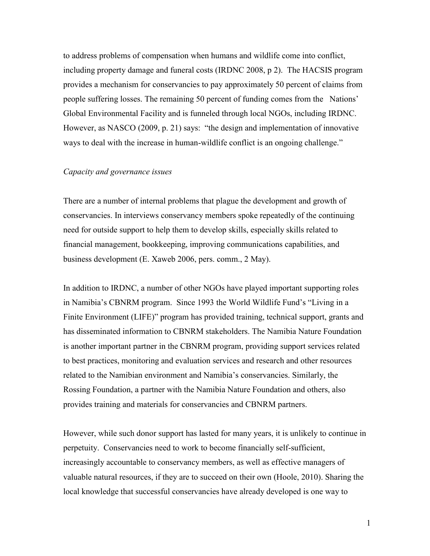to address problems of compensation when humans and wildlife come into conflict, including property damage and funeral costs (IRDNC 2008, p 2). The HACSIS program provides a mechanism for conservancies to pay approximately 50 percent of claims from people suffering losses. The remaining 50 percent of funding comes from the Nations' Global Environmental Facility and is funneled through local NGOs, including IRDNC. However, as NASCO (2009, p. 21) says: "the design and implementation of innovative ways to deal with the increase in human-wildlife conflict is an ongoing challenge."

# *Capacity and governance issues*

There are a number of internal problems that plague the development and growth of conservancies. In interviews conservancy members spoke repeatedly of the continuing need for outside support to help them to develop skills, especially skills related to financial management, bookkeeping, improving communications capabilities, and business development (E. Xaweb 2006, pers. comm., 2 May).

In addition to IRDNC, a number of other NGOs have played important supporting roles in Namibia's CBNRM program. Since 1993 the World Wildlife Fund's "Living in a Finite Environment (LIFE)" program has provided training, technical support, grants and has disseminated information to CBNRM stakeholders. The Namibia Nature Foundation is another important partner in the CBNRM program, providing support services related to best practices, monitoring and evaluation services and research and other resources related to the Namibian environment and Namibia's conservancies. Similarly, the Rossing Foundation, a partner with the Namibia Nature Foundation and others, also provides training and materials for conservancies and CBNRM partners.

However, while such donor support has lasted for many years, it is unlikely to continue in perpetuity. Conservancies need to work to become financially self-sufficient, increasingly accountable to conservancy members, as well as effective managers of valuable natural resources, if they are to succeed on their own (Hoole, 2010). Sharing the local knowledge that successful conservancies have already developed is one way to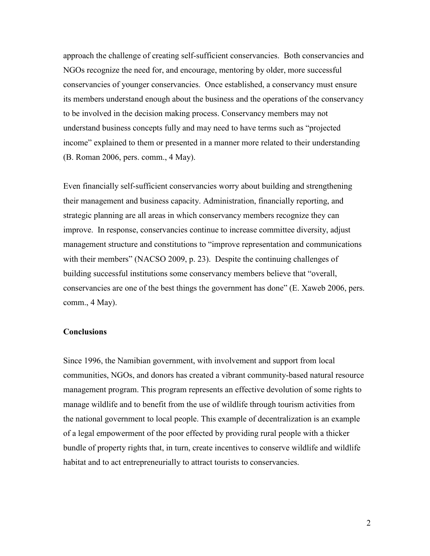approach the challenge of creating self-sufficient conservancies. Both conservancies and NGOs recognize the need for, and encourage, mentoring by older, more successful conservancies of younger conservancies. Once established, a conservancy must ensure its members understand enough about the business and the operations of the conservancy to be involved in the decision making process. Conservancy members may not understand business concepts fully and may need to have terms such as "projected income" explained to them or presented in a manner more related to their understanding (B. Roman 2006, pers. comm., 4 May).

Even financially self-sufficient conservancies worry about building and strengthening their management and business capacity. Administration, financially reporting, and strategic planning are all areas in which conservancy members recognize they can improve. In response, conservancies continue to increase committee diversity, adjust management structure and constitutions to "improve representation and communications" with their members" (NACSO 2009, p. 23). Despite the continuing challenges of building successful institutions some conservancy members believe that "overall, conservancies are one of the best things the government has done" (E. Xaweb 2006, pers. comm., 4 May).

#### **Conclusions**

Since 1996, the Namibian government, with involvement and support from local communities, NGOs, and donors has created a vibrant community-based natural resource management program. This program represents an effective devolution of some rights to manage wildlife and to benefit from the use of wildlife through tourism activities from the national government to local people. This example of decentralization is an example of a legal empowerment of the poor effected by providing rural people with a thicker bundle of property rights that, in turn, create incentives to conserve wildlife and wildlife habitat and to act entrepreneurially to attract tourists to conservancies.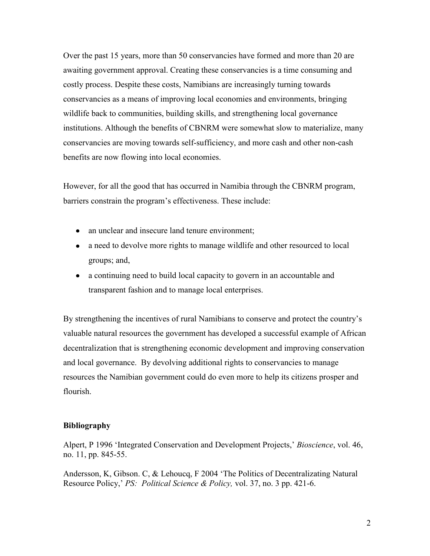Over the past 15 years, more than 50 conservancies have formed and more than 20 are awaiting government approval. Creating these conservancies is a time consuming and costly process. Despite these costs, Namibians are increasingly turning towards conservancies as a means of improving local economies and environments, bringing wildlife back to communities, building skills, and strengthening local governance institutions. Although the benefits of CBNRM were somewhat slow to materialize, many conservancies are moving towards self-sufficiency, and more cash and other non-cash benefits are now flowing into local economies.

However, for all the good that has occurred in Namibia through the CBNRM program, barriers constrain the program's effectiveness. These include:

- an unclear and insecure land tenure environment;
- a need to devolve more rights to manage wildlife and other resourced to local groups; and,
- a continuing need to build local capacity to govern in an accountable and transparent fashion and to manage local enterprises.

By strengthening the incentives of rural Namibians to conserve and protect the country's valuable natural resources the government has developed a successful example of African decentralization that is strengthening economic development and improving conservation and local governance. By devolving additional rights to conservancies to manage resources the Namibian government could do even more to help its citizens prosper and flourish.

# **Bibliography**

Alpert, P 1996 ‗Integrated Conservation and Development Projects,' *Bioscience*, vol. 46, no. 11, pp. 845-55.

Andersson, K, Gibson. C, & Lehoucq, F 2004 'The Politics of Decentralizating Natural Resource Policy,' *PS: Political Science & Policy,* vol. 37, no. 3 pp. 421-6.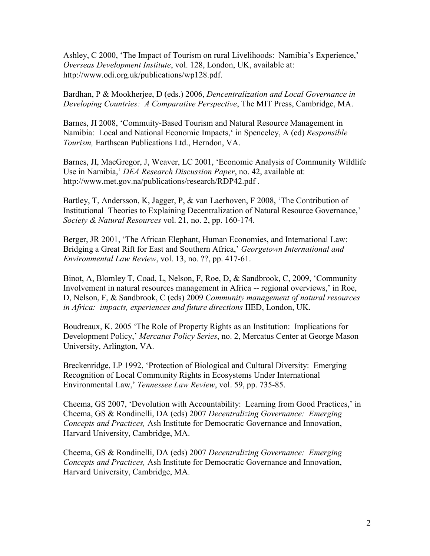Ashley, C 2000, 'The Impact of Tourism on rural Livelihoods: Namibia's Experience,' *Overseas Development Institute*, vol. 128, London, UK, available at: http://www.odi.org.uk/publications/wp128.pdf.

Bardhan, P & Mookherjee, D (eds.) 2006, *Dencentralization and Local Governance in Developing Countries: A Comparative Perspective*, The MIT Press, Cambridge, MA.

Barnes, JI 2008, 'Commuity-Based Tourism and Natural Resource Management in Namibia: Local and National Economic Impacts,‗ in Spenceley, A (ed) *Responsible Tourism,* Earthscan Publications Ltd., Herndon, VA.

Barnes, JI, MacGregor, J, Weaver, LC 2001, 'Economic Analysis of Community Wildlife Use in Namibia,' *DEA Research Discussion Paper*, no. 42, available at: http://www.met.gov.na/publications/research/RDP42.pdf .

Bartley, T, Andersson, K, Jagger, P, & van Laerhoven, F 2008, 'The Contribution of Institutional Theories to Explaining Decentralization of Natural Resource Governance,' *Society & Natural Resources* vol. 21, no. 2, pp. 160-174.

Berger, JR 2001, 'The African Elephant, Human Economies, and International Law: Bridging a Great Rift for East and Southern Africa,' *Georgetown International and Environmental Law Review*, vol. 13, no. ??, pp. 417-61.

Binot, A, Blomley T, Coad, L, Nelson, F, Roe, D, & Sandbrook, C, 2009, 'Community Involvement in natural resources management in Africa -- regional overviews,' in Roe, D, Nelson, F, & Sandbrook, C (eds) 2009 *Community management of natural resources in Africa: impacts, experiences and future directions* IIED, London, UK.

Boudreaux, K. 2005 ‗The Role of Property Rights as an Institution: Implications for Development Policy,' *Mercatus Policy Series*, no. 2, Mercatus Center at George Mason University, Arlington, VA.

Breckenridge, LP 1992, 'Protection of Biological and Cultural Diversity: Emerging Recognition of Local Community Rights in Ecosystems Under International Environmental Law,' *Tennessee Law Review*, vol. 59, pp. 735-85.

Cheema, GS 2007, ‗Devolution with Accountability: Learning from Good Practices,' in Cheema, GS & Rondinelli, DA (eds) 2007 *Decentralizing Governance: Emerging Concepts and Practices,* Ash Institute for Democratic Governance and Innovation, Harvard University, Cambridge, MA.

Cheema, GS & Rondinelli, DA (eds) 2007 *Decentralizing Governance: Emerging Concepts and Practices,* Ash Institute for Democratic Governance and Innovation, Harvard University, Cambridge, MA.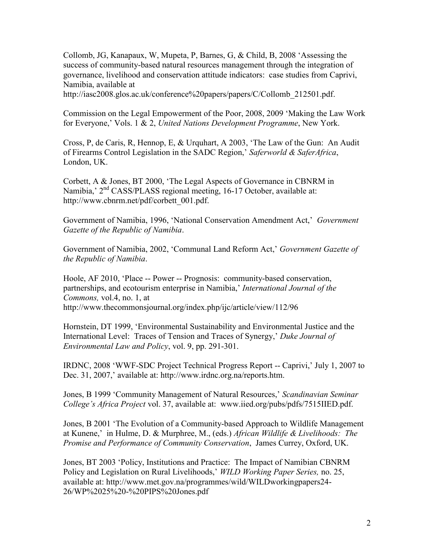Collomb, JG, Kanapaux, W, Mupeta, P, Barnes, G, & Child, B, 2008 'Assessing the success of community-based natural resources management through the integration of governance, livelihood and conservation attitude indicators: case studies from Caprivi, Namibia, available at

http://iasc2008.glos.ac.uk/conference%20papers/papers/C/Collomb\_212501.pdf.

Commission on the Legal Empowerment of the Poor, 2008, 2009 'Making the Law Work for Everyone,' Vols. 1 & 2, *United Nations Development Programme*, New York.

Cross, P, de Caris, R, Hennop, E, & Urquhart, A 2003, 'The Law of the Gun: An Audit of Firearms Control Legislation in the SADC Region,' *Saferworld & SaferAfrica*, London, UK.

Corbett, A & Jones, BT 2000, 'The Legal Aspects of Governance in CBNRM in Namibia,' 2<sup>nd</sup> CASS/PLASS regional meeting, 16-17 October, available at: http://www.cbnrm.net/pdf/corbett\_001.pdf.

Government of Namibia, 1996, ‗National Conservation Amendment Act,' *Government Gazette of the Republic of Namibia*.

Government of Namibia, 2002, ‗Communal Land Reform Act,' *Government Gazette of the Republic of Namibia*.

Hoole, AF 2010, 'Place -- Power -- Prognosis: community-based conservation, partnerships, and ecotourism enterprise in Namibia,' *International Journal of the Commons,* vol.4, no. 1, at http://www.thecommonsjournal.org/index.php/ijc/article/view/112/96

Hornstein, DT 1999, ‗Environmental Sustainability and Environmental Justice and the International Level: Traces of Tension and Traces of Synergy,' *Duke Journal of Environmental Law and Policy*, vol. 9, pp. 291-301.

IRDNC, 2008 ‗WWF-SDC Project Technical Progress Report -- Caprivi,' July 1, 2007 to Dec. 31, 2007,' available at: http://www.irdnc.org.na/reports.htm.

Jones, B 1999 ‗Community Management of Natural Resources,' *Scandinavian Seminar College's Africa Project* vol. 37, available at: www.iied.org/pubs/pdfs/7515IIED.pdf.

Jones, B 2001 'The Evolution of a Community-based Approach to Wildlife Management at Kunene,' in Hulme, D. & Murphree, M., (eds.) *African Wildlife & Livelihoods: The Promise and Performance of Community Conservation*, James Currey, Oxford, UK.

Jones, BT 2003 'Policy, Institutions and Practice: The Impact of Namibian CBNRM Policy and Legislation on Rural Livelihoods,' *WILD Working Paper Series,* no. 25, available at: http://www.met.gov.na/programmes/wild/WILDworkingpapers24- 26/WP%2025%20-%20PIPS%20Jones.pdf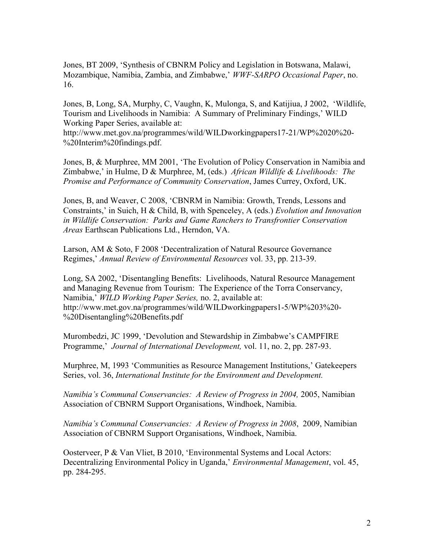Jones, BT 2009, ‗Synthesis of CBNRM Policy and Legislation in Botswana, Malawi, Mozambique, Namibia, Zambia, and Zimbabwe,' *WWF-SARPO Occasional Paper*, no. 16.

Jones, B, Long, SA, Murphy, C, Vaughn, K, Mulonga, S, and Katijiua, J 2002, 'Wildlife, Tourism and Livelihoods in Namibia: A Summary of Preliminary Findings,' WILD Working Paper Series, available at:

http://www.met.gov.na/programmes/wild/WILDworkingpapers17-21/WP%2020%20- %20Interim%20findings.pdf.

Jones, B, & Murphree, MM 2001, 'The Evolution of Policy Conservation in Namibia and Zimbabwe,' in Hulme, D & Murphree, M, (eds.) *African Wildlife & Livelihoods: The Promise and Performance of Community Conservation*, James Currey, Oxford, UK.

Jones, B, and Weaver, C 2008, 'CBNRM in Namibia: Growth, Trends, Lessons and Constraints,' in Suich, H & Child, B, with Spenceley, A (eds.) *Evolution and Innovation in Wildlife Conservation: Parks and Game Ranchers to Transfrontier Conservation Areas* Earthscan Publications Ltd., Herndon, VA.

Larson, AM & Soto, F 2008 'Decentralization of Natural Resource Governance Regimes,' *Annual Review of Environmental Resources* vol. 33, pp. 213-39.

Long, SA 2002, 'Disentangling Benefits: Livelihoods, Natural Resource Management and Managing Revenue from Tourism: The Experience of the Torra Conservancy, Namibia,' *WILD Working Paper Series,* no. 2, available at: http://www.met.gov.na/programmes/wild/WILDworkingpapers1-5/WP%203%20- %20Disentangling%20Benefits.pdf

Murombedzi, JC 1999, 'Devolution and Stewardship in Zimbabwe's CAMPFIRE Programme,' *Journal of International Development,* vol. 11, no. 2, pp. 287-93.

Murphree, M, 1993 'Communities as Resource Management Institutions,' Gatekeepers Series, vol. 36, *International Institute for the Environment and Development.* 

*Namibia's Communal Conservancies: A Review of Progress in 2004, 2005, Namibian* Association of CBNRM Support Organisations, Windhoek, Namibia.

*Namibia's Communal Conservancies: A Review of Progress in 2008*, 2009, Namibian Association of CBNRM Support Organisations, Windhoek, Namibia.

Oosterveer, P & Van Vliet, B 2010, 'Environmental Systems and Local Actors: Decentralizing Environmental Policy in Uganda,' *Environmental Management*, vol. 45, pp. 284-295.